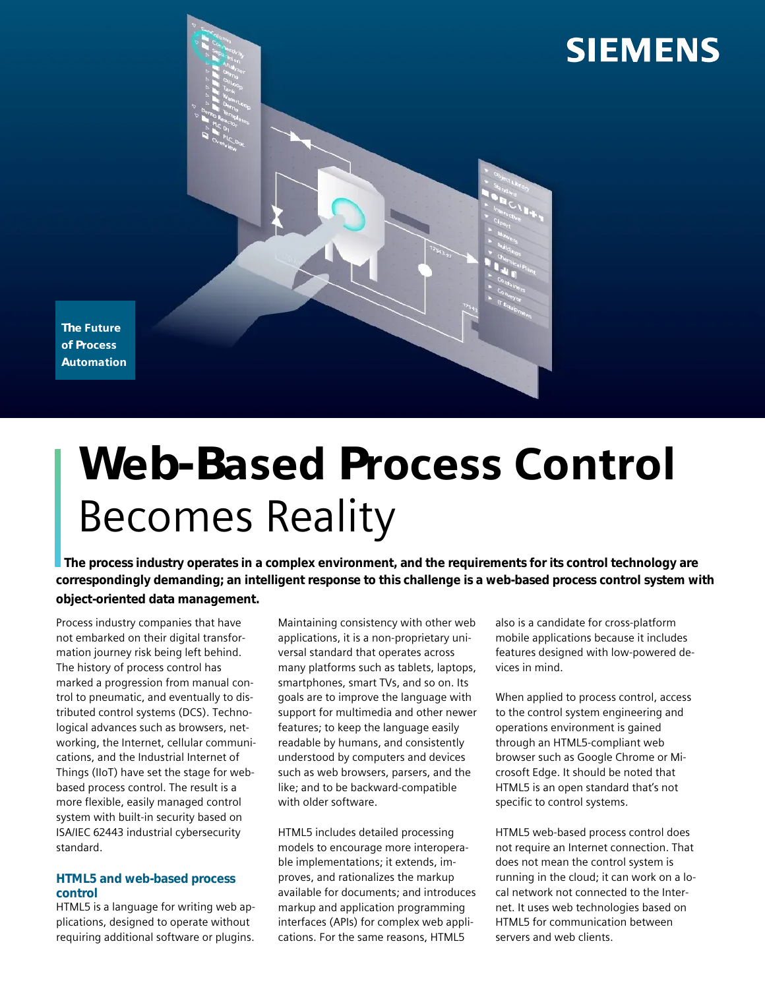

## The Future of Process **Automation**

# Web-Based Process Control Becomes Reality

The process industry operates in a complex environment, and the requirements for its control technology are **correspondingly demanding; an intelligent response to this challenge is a web-based process control system with object-oriented data management.**

Process industry companies that have not embarked on their digital transformation journey risk being left behind. The history of process control has marked a progression from manual control to pneumatic, and eventually to distributed control systems (DCS). Technological advances such as browsers, networking, the Internet, cellular communications, and the Industrial Internet of Things (IIoT) have set the stage for webbased process control. The result is a more flexible, easily managed control system with built-in security based on ISA/IEC 62443 industrial cybersecurity standard.

### **HTML5 and web-based process control**

HTML5 is a language for writing web applications, designed to operate without requiring additional software or plugins.

Maintaining consistency with other web applications, it is a non-proprietary universal standard that operates across many platforms such as tablets, laptops, smartphones, smart TVs, and so on. Its goals are to improve the language with support for multimedia and other newer features; to keep the language easily readable by humans, and consistently understood by computers and devices such as web browsers, parsers, and the like; and to be backward-compatible with older software.

HTML5 includes detailed processing models to encourage more interoperable implementations; it extends, improves, and rationalizes the markup available for documents; and introduces markup and application programming interfaces (APIs) for complex web applications. For the same reasons, HTML5

also is a candidate for cross-platform mobile applications because it includes features designed with low-powered devices in mind.

When applied to process control, access to the control system engineering and operations environment is gained through an HTML5-compliant web browser such as Google Chrome or Microsoft Edge. It should be noted that HTML5 is an open standard that's not specific to control systems.

HTML5 web-based process control does not require an Internet connection. That does not mean the control system is running in the cloud; it can work on a local network not connected to the Internet. It uses web technologies based on HTML5 for communication between servers and web clients.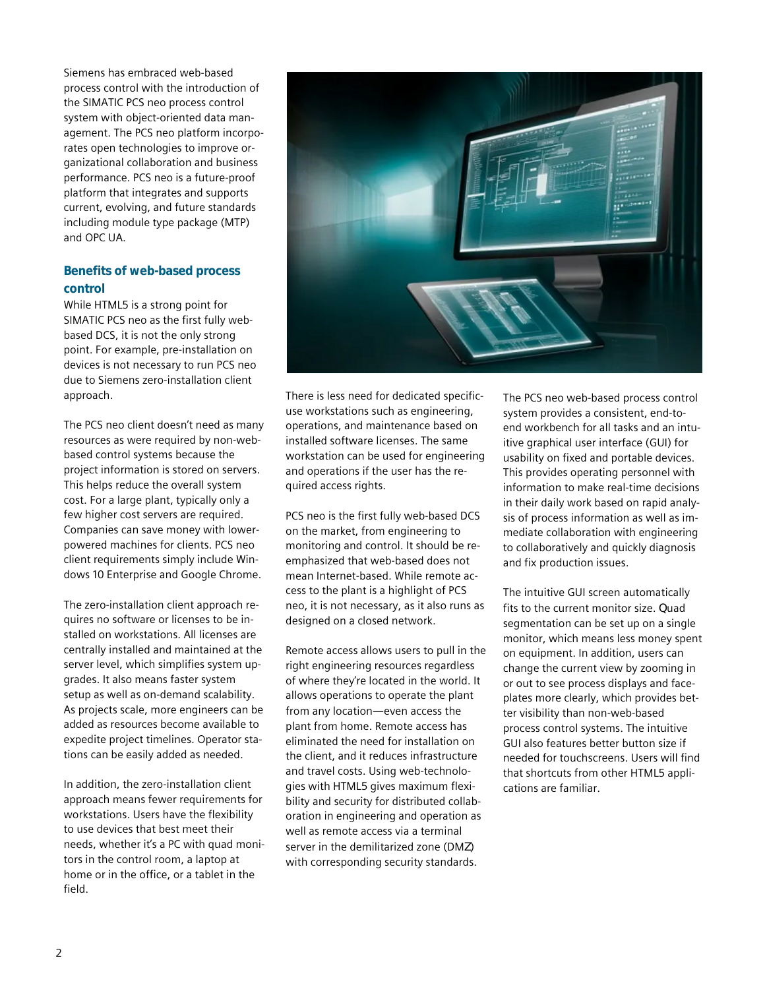Siemens has embraced web-based process control with the introduction of the SIMATIC PCS neo process control system with object-oriented data management. The PCS neo platform incorporates open technologies to improve organizational collaboration and business performance. PCS neo is a future-proof platform that integrates and supports current, evolving, and future standards including module type package (MTP) and OPC UA.

## **Benefits of web-based process control**

While HTML5 is a strong point for SIMATIC PCS neo as the first fully webbased DCS, it is not the only strong point. For example, pre-installation on devices is not necessary to run PCS neo due to Siemens zero-installation client approach.

The PCS neo client doesn't need as many resources as were required by non-webbased control systems because the project information is stored on servers. This helps reduce the overall system cost. For a large plant, typically only a few higher cost servers are required. Companies can save money with lowerpowered machines for clients. PCS neo client requirements simply include Windows 10 Enterprise and Google Chrome.

The zero-installation client approach requires no software or licenses to be installed on workstations. All licenses are centrally installed and maintained at the server level, which simplifies system upgrades. It also means faster system setup as well as on-demand scalability. As projects scale, more engineers can be added as resources become available to expedite project timelines. Operator stations can be easily added as needed.

In addition, the zero-installation client approach means fewer requirements for workstations. Users have the flexibility to use devices that best meet their needs, whether it's a PC with quad monitors in the control room, a laptop at home or in the office, or a tablet in the field.



There is less need for dedicated specificuse workstations such as engineering, operations, and maintenance based on installed software licenses. The same workstation can be used for engineering and operations if the user has the required access rights.

PCS neo is the first fully web-based DCS on the market, from engineering to monitoring and control. It should be reemphasized that web-based does not mean Internet-based. While remote access to the plant is a highlight of PCS neo, it is not necessary, as it also runs as designed on a closed network.

Remote access allows users to pull in the right engineering resources regardless of where they're located in the world. It allows operations to operate the plant from any location—even access the plant from home. Remote access has eliminated the need for installation on the client, and it reduces infrastructure and travel costs. Using web-technologies with HTML5 gives maximum flexibility and security for distributed collaboration in engineering and operation as well as remote access via a terminal server in the demilitarized zone (DMZ) with corresponding security standards.

The PCS neo web-based process control system provides a consistent, end-toend workbench for all tasks and an intuitive graphical user interface (GUI) for usability on fixed and portable devices. This provides operating personnel with information to make real-time decisions in their daily work based on rapid analysis of process information as well as immediate collaboration with engineering to collaboratively and quickly diagnosis and fix production issues.

The intuitive GUI screen automatically fits to the current monitor size. Quad segmentation can be set up on a single monitor, which means less money spent on equipment. In addition, users can change the current view by zooming in or out to see process displays and faceplates more clearly, which provides better visibility than non-web-based process control systems. The intuitive GUI also features better button size if needed for touchscreens. Users will find that shortcuts from other HTML5 applications are familiar.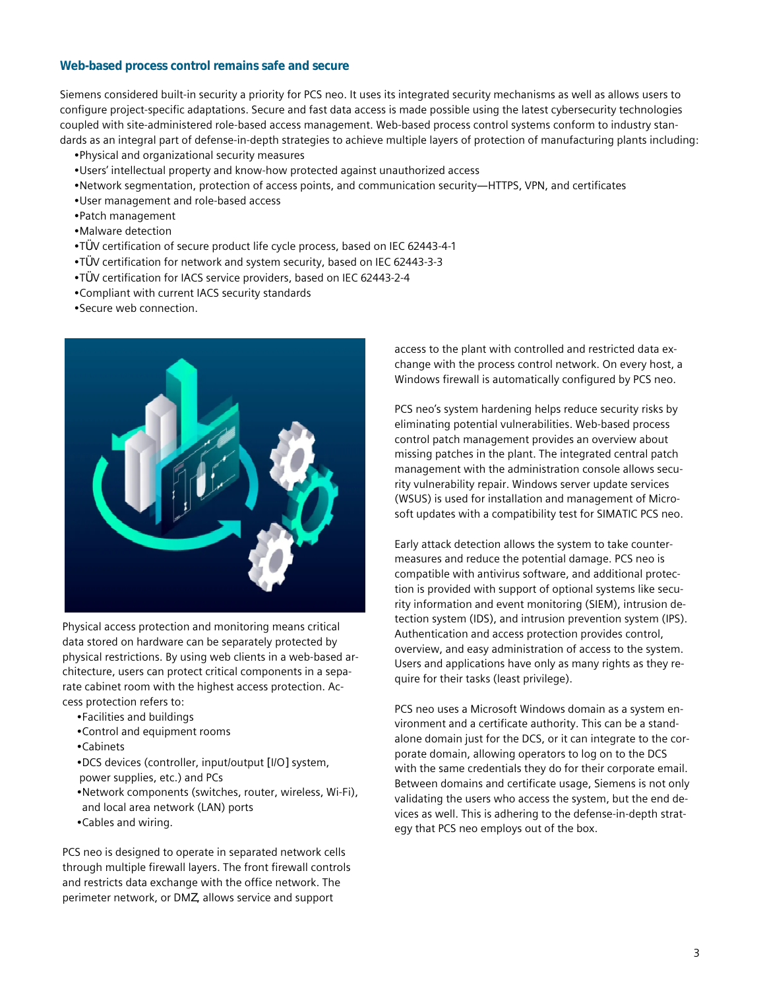### **Web-based process control remains safe and secure**

Siemens considered built-in security a priority for PCS neo. It uses its integrated security mechanisms as well as allows users to configure project-specific adaptations. Secure and fast data access is made possible using the latest cybersecurity technologies coupled with site-administered role-based access management. Web-based process control systems conform to industry standards as an integral part of defense-in-depth strategies to achieve multiple layers of protection of manufacturing plants including:

- •Physical and organizational security measures
- •Users' intellectual property and know-how protected against unauthorized access
- •Network segmentation, protection of access points, and communication security—HTTPS, VPN, and certificates
- •User management and role-based access
- •Patch management
- •Malware detection
- •TÜV certification of secure product life cycle process, based on IEC 62443-4-1
- •TÜV certification for network and system security, based on IEC 62443-3-3
- •TÜV certification for IACS service providers, based on IEC 62443-2-4
- •Compliant with current IACS security standards
- •Secure web connection.



Physical access protection and monitoring means critical data stored on hardware can be separately protected by physical restrictions. By using web clients in a web-based architecture, users can protect critical components in a separate cabinet room with the highest access protection. Access protection refers to:

- •Facilities and buildings
- •Control and equipment rooms
- •Cabinets
- •DCS devices (controller, input/output [I/O] system, power supplies, etc.) and PCs
- •Network components (switches, router, wireless, Wi-Fi), and local area network (LAN) ports
- •Cables and wiring.

PCS neo is designed to operate in separated network cells through multiple firewall layers. The front firewall controls and restricts data exchange with the office network. The perimeter network, or DMZ, allows service and support

access to the plant with controlled and restricted data exchange with the process control network. On every host, a Windows firewall is automatically configured by PCS neo.

PCS neo's system hardening helps reduce security risks by eliminating potential vulnerabilities. Web-based process control patch management provides an overview about missing patches in the plant. The integrated central patch management with the administration console allows security vulnerability repair. Windows server update services (WSUS) is used for installation and management of Microsoft updates with a compatibility test for SIMATIC PCS neo.

Early attack detection allows the system to take countermeasures and reduce the potential damage. PCS neo is compatible with antivirus software, and additional protection is provided with support of optional systems like security information and event monitoring (SIEM), intrusion detection system (IDS), and intrusion prevention system (IPS). Authentication and access protection provides control, overview, and easy administration of access to the system. Users and applications have only as many rights as they require for their tasks (least privilege).

PCS neo uses a Microsoft Windows domain as a system environment and a certificate authority. This can be a standalone domain just for the DCS, or it can integrate to the corporate domain, allowing operators to log on to the DCS with the same credentials they do for their corporate email. Between domains and certificate usage, Siemens is not only validating the users who access the system, but the end devices as well. This is adhering to the defense-in-depth strategy that PCS neo employs out of the box.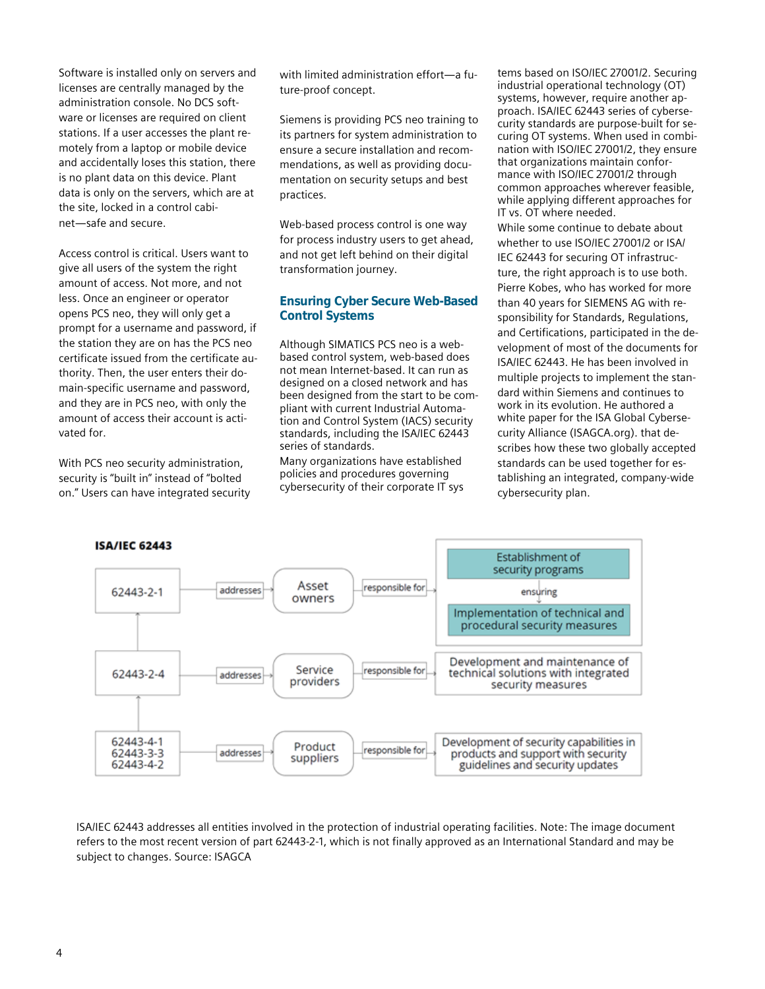Software is installed only on servers and licenses are centrally managed by the administration console. No DCS software or licenses are required on client stations. If a user accesses the plant remotely from a laptop or mobile device and accidentally loses this station, there is no plant data on this device. Plant data is only on the servers, which are at the site, locked in a control cabinet—safe and secure.

Access control is critical. Users want to give all users of the system the right amount of access. Not more, and not less. Once an engineer or operator opens PCS neo, they will only get a prompt for a username and password, if the station they are on has the PCS neo certificate issued from the certificate authority. Then, the user enters their domain-specific username and password, and they are in PCS neo, with only the amount of access their account is activated for.

With PCS neo security administration, security is "built in" instead of "bolted on." Users can have integrated security with limited administration effort—a future-proof concept.

Siemens is providing PCS neo training to its partners for system administration to ensure a secure installation and recommendations, as well as providing documentation on security setups and best practices.

Web-based process control is one way for process industry users to get ahead, and not get left behind on their digital transformation journey.

## **Ensuring Cyber Secure Web-Based Control Systems**

Although SIMATICS PCS neo is a webbased control system, web-based does not mean Internet-based. It can run as designed on a closed network and has been designed from the start to be compliant with current Industrial Automation and Control System (IACS) security standards, including the ISA/IEC 62443 series of standards.

Many organizations have established policies and procedures governing cybersecurity of their corporate IT sys

tems based on ISO/IEC 27001/2. Securing industrial operational technology (OT) systems, however, require another approach. ISA/IEC 62443 series of cybersecurity standards are purpose-built for securing OT systems. When used in combination with ISO/IEC 27001/2, they ensure that organizations maintain conformance with ISO/IEC 27001/2 through common approaches wherever feasible, while applying different approaches for IT vs. OT where needed.

While some continue to debate about whether to use ISO/IEC 27001/2 or ISA/ IEC 62443 for securing OT infrastructure, the right approach is to use both. Pierre Kobes, who has worked for more than 40 years for SIEMENS AG with responsibility for Standards, Regulations, and Certifications, participated in the development of most of the documents for ISA/IEC 62443. He has been involved in multiple projects to implement the standard within Siemens and continues to work in its evolution. He authored a white paper for the ISA Global Cybersecurity Alliance (ISAGCA.org). that describes how these two globally accepted standards can be used together for establishing an integrated, company-wide cybersecurity plan.



ISA/IEC 62443 addresses all entities involved in the protection of industrial operating facilities. Note: The image document refers to the most recent version of part 62443-2-1, which is not finally approved as an International Standard and may be subject to changes. Source: ISAGCA